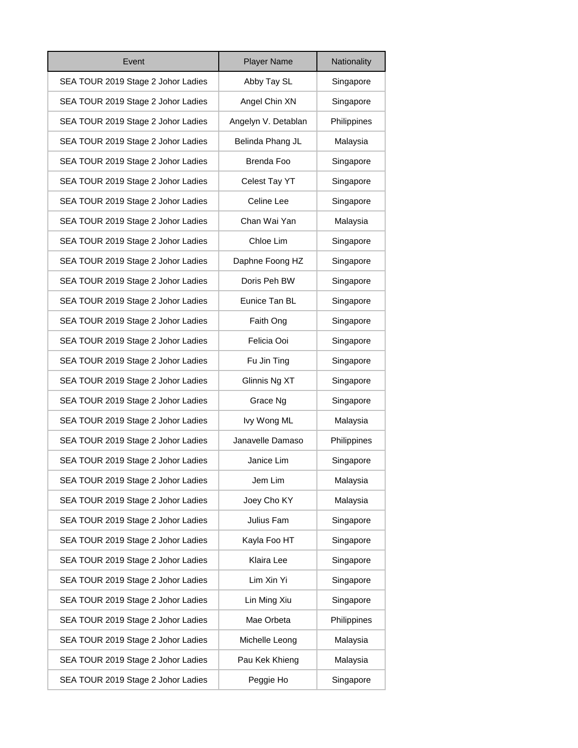| Event                              | <b>Player Name</b>  | Nationality |
|------------------------------------|---------------------|-------------|
| SEA TOUR 2019 Stage 2 Johor Ladies | Abby Tay SL         | Singapore   |
| SEA TOUR 2019 Stage 2 Johor Ladies | Angel Chin XN       | Singapore   |
| SEA TOUR 2019 Stage 2 Johor Ladies | Angelyn V. Detablan | Philippines |
| SEA TOUR 2019 Stage 2 Johor Ladies | Belinda Phang JL    | Malaysia    |
| SEA TOUR 2019 Stage 2 Johor Ladies | <b>Brenda Foo</b>   | Singapore   |
| SEA TOUR 2019 Stage 2 Johor Ladies | Celest Tay YT       | Singapore   |
| SEA TOUR 2019 Stage 2 Johor Ladies | Celine Lee          | Singapore   |
| SEA TOUR 2019 Stage 2 Johor Ladies | Chan Wai Yan        | Malaysia    |
| SEA TOUR 2019 Stage 2 Johor Ladies | Chloe Lim           | Singapore   |
| SEA TOUR 2019 Stage 2 Johor Ladies | Daphne Foong HZ     | Singapore   |
| SEA TOUR 2019 Stage 2 Johor Ladies | Doris Peh BW        | Singapore   |
| SEA TOUR 2019 Stage 2 Johor Ladies | Eunice Tan BL       | Singapore   |
| SEA TOUR 2019 Stage 2 Johor Ladies | Faith Ong           | Singapore   |
| SEA TOUR 2019 Stage 2 Johor Ladies | Felicia Ooi         | Singapore   |
| SEA TOUR 2019 Stage 2 Johor Ladies | Fu Jin Ting         | Singapore   |
| SEA TOUR 2019 Stage 2 Johor Ladies | Glinnis Ng XT       | Singapore   |
| SEA TOUR 2019 Stage 2 Johor Ladies | Grace Ng            | Singapore   |
| SEA TOUR 2019 Stage 2 Johor Ladies | Ivy Wong ML         | Malaysia    |
| SEA TOUR 2019 Stage 2 Johor Ladies | Janavelle Damaso    | Philippines |
| SEA TOUR 2019 Stage 2 Johor Ladies | Janice Lim          | Singapore   |
| SEA TOUR 2019 Stage 2 Johor Ladies | Jem Lim             | Malaysia    |
| SEA TOUR 2019 Stage 2 Johor Ladies | Joey Cho KY         | Malaysia    |
| SEA TOUR 2019 Stage 2 Johor Ladies | Julius Fam          | Singapore   |
| SEA TOUR 2019 Stage 2 Johor Ladies | Kayla Foo HT        | Singapore   |
| SEA TOUR 2019 Stage 2 Johor Ladies | Klaira Lee          | Singapore   |
| SEA TOUR 2019 Stage 2 Johor Ladies | Lim Xin Yi          | Singapore   |
| SEA TOUR 2019 Stage 2 Johor Ladies | Lin Ming Xiu        | Singapore   |
| SEA TOUR 2019 Stage 2 Johor Ladies | Mae Orbeta          | Philippines |
| SEA TOUR 2019 Stage 2 Johor Ladies | Michelle Leong      | Malaysia    |
| SEA TOUR 2019 Stage 2 Johor Ladies | Pau Kek Khieng      | Malaysia    |
| SEA TOUR 2019 Stage 2 Johor Ladies | Peggie Ho           | Singapore   |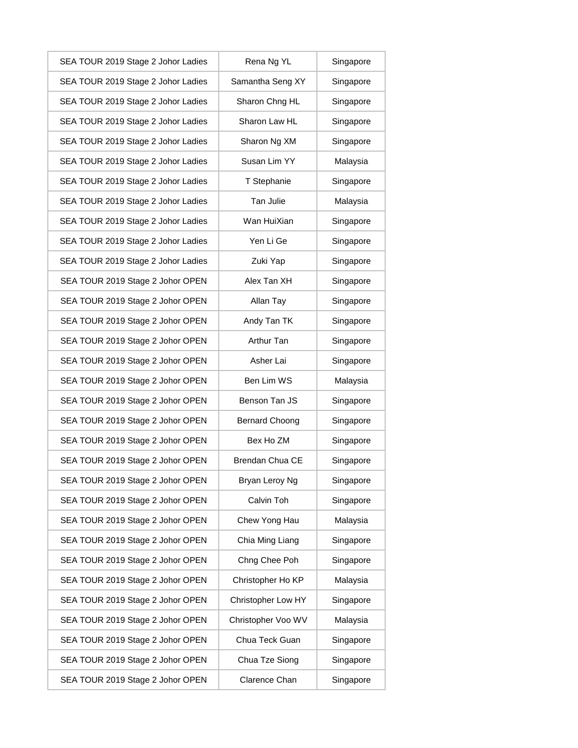| SEA TOUR 2019 Stage 2 Johor Ladies | Rena Ng YL             | Singapore |
|------------------------------------|------------------------|-----------|
| SEA TOUR 2019 Stage 2 Johor Ladies | Samantha Seng XY       | Singapore |
| SEA TOUR 2019 Stage 2 Johor Ladies | Sharon Chng HL         | Singapore |
| SEA TOUR 2019 Stage 2 Johor Ladies | Sharon Law HL          | Singapore |
| SEA TOUR 2019 Stage 2 Johor Ladies | Sharon Ng XM           | Singapore |
| SEA TOUR 2019 Stage 2 Johor Ladies | Susan Lim YY           | Malaysia  |
| SEA TOUR 2019 Stage 2 Johor Ladies | T Stephanie            | Singapore |
| SEA TOUR 2019 Stage 2 Johor Ladies | Tan Julie              | Malaysia  |
| SEA TOUR 2019 Stage 2 Johor Ladies | Wan HuiXian            | Singapore |
| SEA TOUR 2019 Stage 2 Johor Ladies | Yen Li Ge              | Singapore |
| SEA TOUR 2019 Stage 2 Johor Ladies | Zuki Yap               | Singapore |
| SEA TOUR 2019 Stage 2 Johor OPEN   | Alex Tan XH            | Singapore |
| SEA TOUR 2019 Stage 2 Johor OPEN   | Allan Tay              | Singapore |
| SEA TOUR 2019 Stage 2 Johor OPEN   | Andy Tan TK            | Singapore |
| SEA TOUR 2019 Stage 2 Johor OPEN   | Arthur Tan             | Singapore |
| SEA TOUR 2019 Stage 2 Johor OPEN   | Asher Lai              | Singapore |
| SEA TOUR 2019 Stage 2 Johor OPEN   | Ben Lim WS             | Malaysia  |
| SEA TOUR 2019 Stage 2 Johor OPEN   | Benson Tan JS          | Singapore |
| SEA TOUR 2019 Stage 2 Johor OPEN   | <b>Bernard Choong</b>  | Singapore |
| SEA TOUR 2019 Stage 2 Johor OPEN   | Bex Ho ZM              | Singapore |
| SEA TOUR 2019 Stage 2 Johor OPEN   | <b>Brendan Chua CE</b> | Singapore |
| SEA TOUR 2019 Stage 2 Johor OPEN   | Bryan Leroy Ng         | Singapore |
| SEA TOUR 2019 Stage 2 Johor OPEN   | Calvin Toh             | Singapore |
| SEA TOUR 2019 Stage 2 Johor OPEN   | Chew Yong Hau          | Malaysia  |
| SEA TOUR 2019 Stage 2 Johor OPEN   | Chia Ming Liang        | Singapore |
| SEA TOUR 2019 Stage 2 Johor OPEN   | Chng Chee Poh          | Singapore |
| SEA TOUR 2019 Stage 2 Johor OPEN   | Christopher Ho KP      | Malaysia  |
| SEA TOUR 2019 Stage 2 Johor OPEN   | Christopher Low HY     | Singapore |
| SEA TOUR 2019 Stage 2 Johor OPEN   | Christopher Voo WV     | Malaysia  |
| SEA TOUR 2019 Stage 2 Johor OPEN   | Chua Teck Guan         | Singapore |
| SEA TOUR 2019 Stage 2 Johor OPEN   | Chua Tze Siong         | Singapore |
| SEA TOUR 2019 Stage 2 Johor OPEN   | Clarence Chan          | Singapore |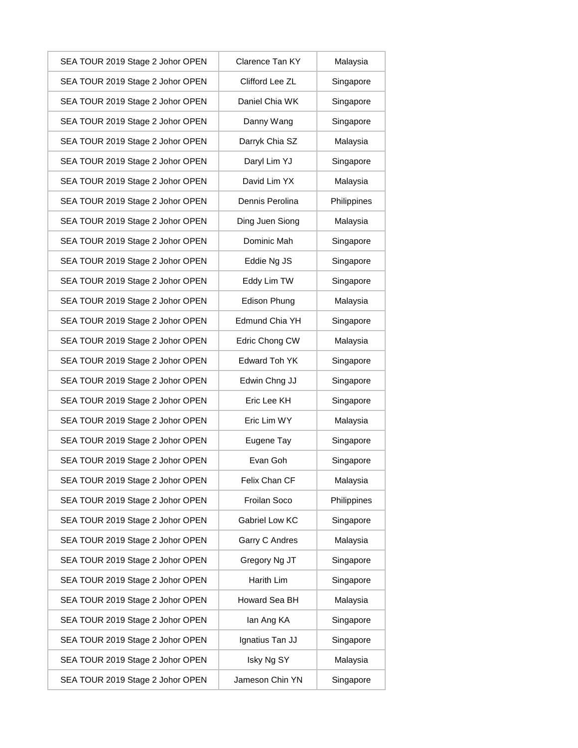| SEA TOUR 2019 Stage 2 Johor OPEN | Clarence Tan KY | Malaysia    |
|----------------------------------|-----------------|-------------|
| SEA TOUR 2019 Stage 2 Johor OPEN | Clifford Lee ZL | Singapore   |
| SEA TOUR 2019 Stage 2 Johor OPEN | Daniel Chia WK  | Singapore   |
| SEA TOUR 2019 Stage 2 Johor OPEN | Danny Wang      | Singapore   |
| SEA TOUR 2019 Stage 2 Johor OPEN | Darryk Chia SZ  | Malaysia    |
| SEA TOUR 2019 Stage 2 Johor OPEN | Daryl Lim YJ    | Singapore   |
| SEA TOUR 2019 Stage 2 Johor OPEN | David Lim YX    | Malaysia    |
| SEA TOUR 2019 Stage 2 Johor OPEN | Dennis Perolina | Philippines |
| SEA TOUR 2019 Stage 2 Johor OPEN | Ding Juen Siong | Malaysia    |
| SEA TOUR 2019 Stage 2 Johor OPEN | Dominic Mah     | Singapore   |
| SEA TOUR 2019 Stage 2 Johor OPEN | Eddie Ng JS     | Singapore   |
| SEA TOUR 2019 Stage 2 Johor OPEN | Eddy Lim TW     | Singapore   |
| SEA TOUR 2019 Stage 2 Johor OPEN | Edison Phung    | Malaysia    |
| SEA TOUR 2019 Stage 2 Johor OPEN | Edmund Chia YH  | Singapore   |
| SEA TOUR 2019 Stage 2 Johor OPEN | Edric Chong CW  | Malaysia    |
| SEA TOUR 2019 Stage 2 Johor OPEN | Edward Toh YK   | Singapore   |
| SEA TOUR 2019 Stage 2 Johor OPEN | Edwin Chng JJ   | Singapore   |
| SEA TOUR 2019 Stage 2 Johor OPEN | Eric Lee KH     | Singapore   |
| SEA TOUR 2019 Stage 2 Johor OPEN | Eric Lim WY     | Malaysia    |
| SEA TOUR 2019 Stage 2 Johor OPEN | Eugene Tay      | Singapore   |
| SEA TOUR 2019 Stage 2 Johor OPEN | Evan Goh        | Singapore   |
| SEA TOUR 2019 Stage 2 Johor OPEN | Felix Chan CF   | Malaysia    |
| SEA TOUR 2019 Stage 2 Johor OPEN | Froilan Soco    | Philippines |
| SEA TOUR 2019 Stage 2 Johor OPEN | Gabriel Low KC  | Singapore   |
| SEA TOUR 2019 Stage 2 Johor OPEN | Garry C Andres  | Malaysia    |
| SEA TOUR 2019 Stage 2 Johor OPEN | Gregory Ng JT   | Singapore   |
| SEA TOUR 2019 Stage 2 Johor OPEN | Harith Lim      | Singapore   |
| SEA TOUR 2019 Stage 2 Johor OPEN | Howard Sea BH   | Malaysia    |
| SEA TOUR 2019 Stage 2 Johor OPEN | lan Ang KA      | Singapore   |
| SEA TOUR 2019 Stage 2 Johor OPEN | Ignatius Tan JJ | Singapore   |
| SEA TOUR 2019 Stage 2 Johor OPEN | Isky Ng SY      | Malaysia    |
| SEA TOUR 2019 Stage 2 Johor OPEN | Jameson Chin YN | Singapore   |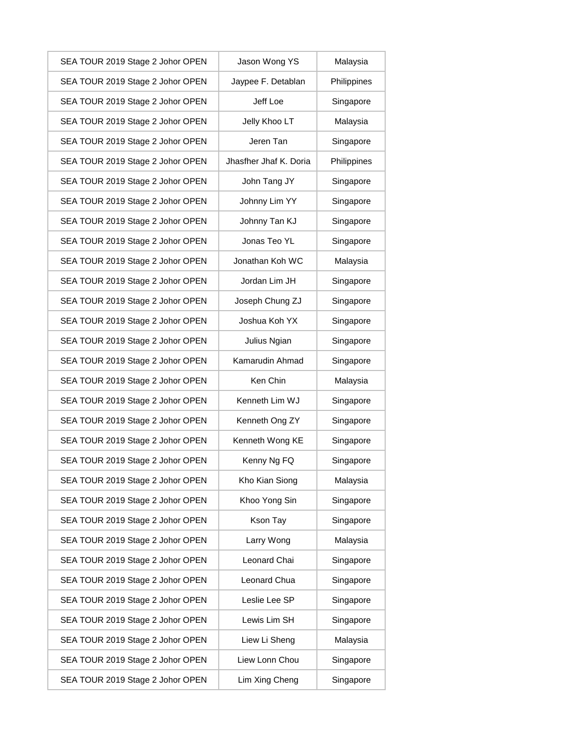| SEA TOUR 2019 Stage 2 Johor OPEN | Jason Wong YS          | Malaysia    |
|----------------------------------|------------------------|-------------|
| SEA TOUR 2019 Stage 2 Johor OPEN | Jaypee F. Detablan     | Philippines |
| SEA TOUR 2019 Stage 2 Johor OPEN | Jeff Loe               | Singapore   |
| SEA TOUR 2019 Stage 2 Johor OPEN | Jelly Khoo LT          | Malaysia    |
| SEA TOUR 2019 Stage 2 Johor OPEN | Jeren Tan              | Singapore   |
| SEA TOUR 2019 Stage 2 Johor OPEN | Jhasfher Jhaf K. Doria | Philippines |
| SEA TOUR 2019 Stage 2 Johor OPEN | John Tang JY           | Singapore   |
| SEA TOUR 2019 Stage 2 Johor OPEN | Johnny Lim YY          | Singapore   |
| SEA TOUR 2019 Stage 2 Johor OPEN | Johnny Tan KJ          | Singapore   |
| SEA TOUR 2019 Stage 2 Johor OPEN | Jonas Teo YL           | Singapore   |
| SEA TOUR 2019 Stage 2 Johor OPEN | Jonathan Koh WC        | Malaysia    |
| SEA TOUR 2019 Stage 2 Johor OPEN | Jordan Lim JH          | Singapore   |
| SEA TOUR 2019 Stage 2 Johor OPEN | Joseph Chung ZJ        | Singapore   |
| SEA TOUR 2019 Stage 2 Johor OPEN | Joshua Koh YX          | Singapore   |
| SEA TOUR 2019 Stage 2 Johor OPEN | Julius Ngian           | Singapore   |
| SEA TOUR 2019 Stage 2 Johor OPEN | Kamarudin Ahmad        | Singapore   |
| SEA TOUR 2019 Stage 2 Johor OPEN | Ken Chin               | Malaysia    |
| SEA TOUR 2019 Stage 2 Johor OPEN | Kenneth Lim WJ         | Singapore   |
| SEA TOUR 2019 Stage 2 Johor OPEN | Kenneth Ong ZY         | Singapore   |
| SEA TOUR 2019 Stage 2 Johor OPEN | Kenneth Wong KE        | Singapore   |
| SEA TOUR 2019 Stage 2 Johor OPEN | Kenny Ng FQ            | Singapore   |
| SEA TOUR 2019 Stage 2 Johor OPEN | Kho Kian Siong         | Malaysia    |
| SEA TOUR 2019 Stage 2 Johor OPEN | Khoo Yong Sin          | Singapore   |
| SEA TOUR 2019 Stage 2 Johor OPEN | Kson Tay               | Singapore   |
| SEA TOUR 2019 Stage 2 Johor OPEN | Larry Wong             | Malaysia    |
| SEA TOUR 2019 Stage 2 Johor OPEN | Leonard Chai           | Singapore   |
| SEA TOUR 2019 Stage 2 Johor OPEN | Leonard Chua           | Singapore   |
| SEA TOUR 2019 Stage 2 Johor OPEN | Leslie Lee SP          | Singapore   |
| SEA TOUR 2019 Stage 2 Johor OPEN | Lewis Lim SH           | Singapore   |
| SEA TOUR 2019 Stage 2 Johor OPEN | Liew Li Sheng          | Malaysia    |
| SEA TOUR 2019 Stage 2 Johor OPEN | Liew Lonn Chou         | Singapore   |
| SEA TOUR 2019 Stage 2 Johor OPEN | Lim Xing Cheng         | Singapore   |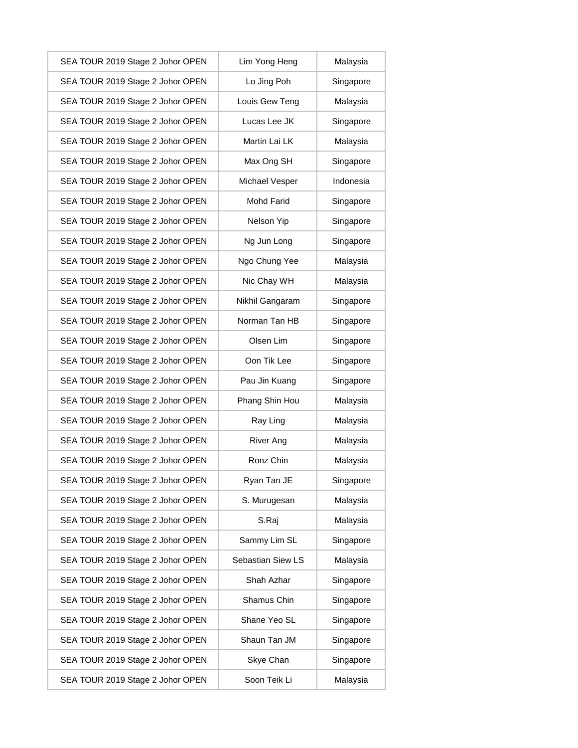| SEA TOUR 2019 Stage 2 Johor OPEN | Lim Yong Heng     | Malaysia  |
|----------------------------------|-------------------|-----------|
| SEA TOUR 2019 Stage 2 Johor OPEN | Lo Jing Poh       | Singapore |
| SEA TOUR 2019 Stage 2 Johor OPEN | Louis Gew Teng    | Malaysia  |
| SEA TOUR 2019 Stage 2 Johor OPEN | Lucas Lee JK      | Singapore |
| SEA TOUR 2019 Stage 2 Johor OPEN | Martin Lai LK     | Malaysia  |
| SEA TOUR 2019 Stage 2 Johor OPEN | Max Ong SH        | Singapore |
| SEA TOUR 2019 Stage 2 Johor OPEN | Michael Vesper    | Indonesia |
| SEA TOUR 2019 Stage 2 Johor OPEN | <b>Mohd Farid</b> | Singapore |
| SEA TOUR 2019 Stage 2 Johor OPEN | Nelson Yip        | Singapore |
| SEA TOUR 2019 Stage 2 Johor OPEN | Ng Jun Long       | Singapore |
| SEA TOUR 2019 Stage 2 Johor OPEN | Ngo Chung Yee     | Malaysia  |
| SEA TOUR 2019 Stage 2 Johor OPEN | Nic Chay WH       | Malaysia  |
| SEA TOUR 2019 Stage 2 Johor OPEN | Nikhil Gangaram   | Singapore |
| SEA TOUR 2019 Stage 2 Johor OPEN | Norman Tan HB     | Singapore |
| SEA TOUR 2019 Stage 2 Johor OPEN | Olsen Lim         | Singapore |
| SEA TOUR 2019 Stage 2 Johor OPEN | Oon Tik Lee       | Singapore |
| SEA TOUR 2019 Stage 2 Johor OPEN | Pau Jin Kuang     | Singapore |
| SEA TOUR 2019 Stage 2 Johor OPEN | Phang Shin Hou    | Malaysia  |
| SEA TOUR 2019 Stage 2 Johor OPEN | Ray Ling          | Malaysia  |
| SEA TOUR 2019 Stage 2 Johor OPEN | <b>River Ang</b>  | Malaysia  |
| SEA TOUR 2019 Stage 2 Johor OPEN | Ronz Chin         | Malaysia  |
| SEA TOUR 2019 Stage 2 Johor OPEN | Ryan Tan JE       | Singapore |
| SEA TOUR 2019 Stage 2 Johor OPEN | S. Murugesan      | Malaysia  |
| SEA TOUR 2019 Stage 2 Johor OPEN | S.Raj             | Malaysia  |
| SEA TOUR 2019 Stage 2 Johor OPEN | Sammy Lim SL      | Singapore |
| SEA TOUR 2019 Stage 2 Johor OPEN | Sebastian Siew LS | Malaysia  |
| SEA TOUR 2019 Stage 2 Johor OPEN | Shah Azhar        | Singapore |
| SEA TOUR 2019 Stage 2 Johor OPEN | Shamus Chin       | Singapore |
| SEA TOUR 2019 Stage 2 Johor OPEN | Shane Yeo SL      | Singapore |
| SEA TOUR 2019 Stage 2 Johor OPEN | Shaun Tan JM      | Singapore |
| SEA TOUR 2019 Stage 2 Johor OPEN | Skye Chan         | Singapore |
| SEA TOUR 2019 Stage 2 Johor OPEN | Soon Teik Li      | Malaysia  |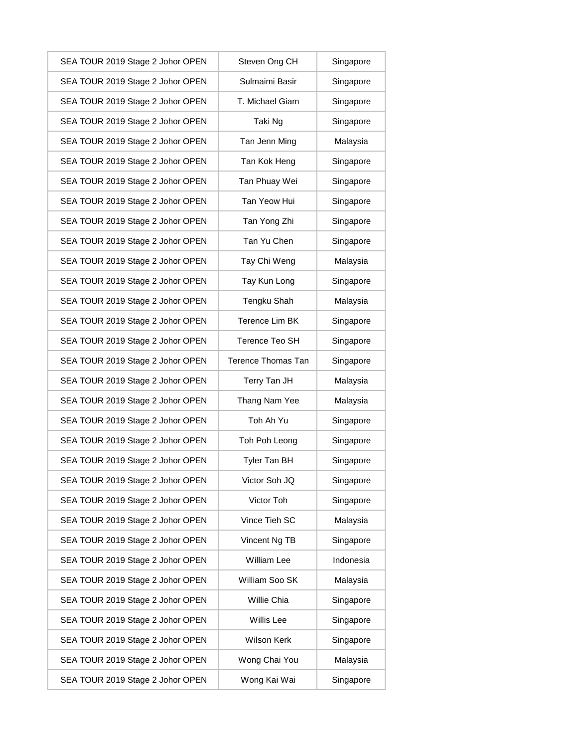| SEA TOUR 2019 Stage 2 Johor OPEN | Steven Ong CH      | Singapore |
|----------------------------------|--------------------|-----------|
| SEA TOUR 2019 Stage 2 Johor OPEN | Sulmaimi Basir     | Singapore |
| SEA TOUR 2019 Stage 2 Johor OPEN | T. Michael Giam    | Singapore |
| SEA TOUR 2019 Stage 2 Johor OPEN | Taki Ng            | Singapore |
| SEA TOUR 2019 Stage 2 Johor OPEN | Tan Jenn Ming      | Malaysia  |
| SEA TOUR 2019 Stage 2 Johor OPEN | Tan Kok Heng       | Singapore |
| SEA TOUR 2019 Stage 2 Johor OPEN | Tan Phuay Wei      | Singapore |
| SEA TOUR 2019 Stage 2 Johor OPEN | Tan Yeow Hui       | Singapore |
| SEA TOUR 2019 Stage 2 Johor OPEN | Tan Yong Zhi       | Singapore |
| SEA TOUR 2019 Stage 2 Johor OPEN | Tan Yu Chen        | Singapore |
| SEA TOUR 2019 Stage 2 Johor OPEN | Tay Chi Weng       | Malaysia  |
| SEA TOUR 2019 Stage 2 Johor OPEN | Tay Kun Long       | Singapore |
| SEA TOUR 2019 Stage 2 Johor OPEN | Tengku Shah        | Malaysia  |
| SEA TOUR 2019 Stage 2 Johor OPEN | Terence Lim BK     | Singapore |
| SEA TOUR 2019 Stage 2 Johor OPEN | Terence Teo SH     | Singapore |
| SEA TOUR 2019 Stage 2 Johor OPEN | Terence Thomas Tan | Singapore |
| SEA TOUR 2019 Stage 2 Johor OPEN | Terry Tan JH       | Malaysia  |
| SEA TOUR 2019 Stage 2 Johor OPEN | Thang Nam Yee      | Malaysia  |
| SEA TOUR 2019 Stage 2 Johor OPEN | Toh Ah Yu          | Singapore |
| SEA TOUR 2019 Stage 2 Johor OPEN | Toh Poh Leong      | Singapore |
| SEA TOUR 2019 Stage 2 Johor OPEN | Tyler Tan BH       | Singapore |
| SEA TOUR 2019 Stage 2 Johor OPEN | Victor Soh JQ      | Singapore |
| SEA TOUR 2019 Stage 2 Johor OPEN | Victor Toh         | Singapore |
| SEA TOUR 2019 Stage 2 Johor OPEN | Vince Tieh SC      | Malaysia  |
| SEA TOUR 2019 Stage 2 Johor OPEN | Vincent Ng TB      | Singapore |
| SEA TOUR 2019 Stage 2 Johor OPEN | William Lee        | Indonesia |
| SEA TOUR 2019 Stage 2 Johor OPEN | William Soo SK     | Malaysia  |
| SEA TOUR 2019 Stage 2 Johor OPEN | Willie Chia        | Singapore |
| SEA TOUR 2019 Stage 2 Johor OPEN | Willis Lee         | Singapore |
| SEA TOUR 2019 Stage 2 Johor OPEN | Wilson Kerk        | Singapore |
| SEA TOUR 2019 Stage 2 Johor OPEN | Wong Chai You      | Malaysia  |
| SEA TOUR 2019 Stage 2 Johor OPEN | Wong Kai Wai       | Singapore |